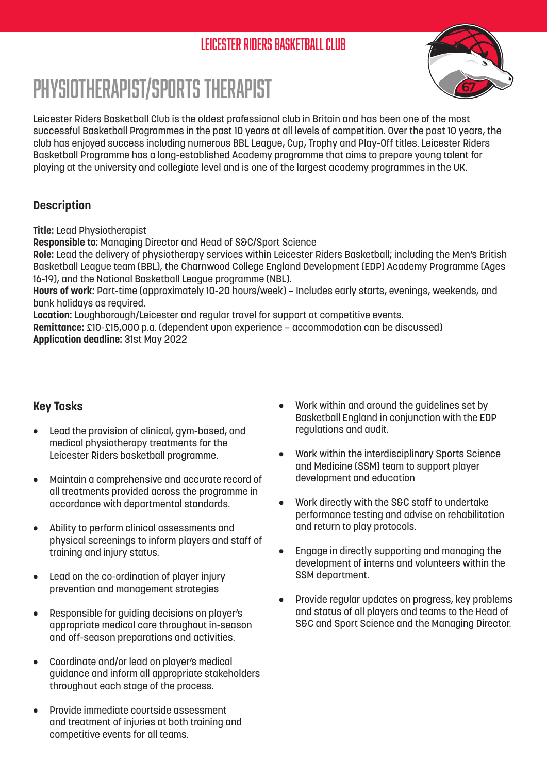# Leicester Riders Basketball Club



# Physiotherapist/Sports Therapist

Leicester Riders Basketball Club is the oldest professional club in Britain and has been one of the most successful Basketball Programmes in the past 10 years at all levels of competition. Over the past 10 years, the club has enjoyed success including numerous BBL League, Cup, Trophy and Play-Off titles. Leicester Riders Basketball Programme has a long-established Academy programme that aims to prepare young talent for playing at the university and collegiate level and is one of the largest academy programmes in the UK.

### **Description**

**Title:** Lead Physiotherapist

**Responsible to:** Managing Director and Head of S&C/Sport Science

**Role:** Lead the delivery of physiotherapy services within Leicester Riders Basketball; including the Men's British Basketball League team (BBL), the Charnwood College England Development (EDP) Academy Programme (Ages 16-19), and the National Basketball League programme (NBL).

**Hours of work:** Part-time (approximately 10-20 hours/week) – Includes early starts, evenings, weekends, and bank holidays as required.

**Location:** Loughborough/Leicester and regular travel for support at competitive events.

**Remittance:** £10-£15,000 p.a. (dependent upon experience – accommodation can be discussed) **Application deadline:** 31st May 2022

### **Key Tasks**

- Lead the provision of clinical, gym-based, and medical physiotherapy treatments for the Leicester Riders basketball programme.
- Maintain a comprehensive and accurate record of all treatments provided across the programme in accordance with departmental standards.
- Ability to perform clinical assessments and physical screenings to inform players and staff of training and injury status.
- Lead on the co-ordination of player injury prevention and management strategies
- Responsible for guiding decisions on player's appropriate medical care throughout in-season and off-season preparations and activities.
- Coordinate and/or lead on player's medical guidance and inform all appropriate stakeholders throughout each stage of the process.
- Provide immediate courtside assessment and treatment of injuries at both training and competitive events for all teams.
- Work within and around the guidelines set by Basketball England in conjunction with the EDP regulations and audit.
- Work within the interdisciplinary Sports Science and Medicine (SSM) team to support player development and education
- Work directly with the S&C staff to undertake performance testing and advise on rehabilitation and return to play protocols.
- Engage in directly supporting and managing the development of interns and volunteers within the SSM department.
- Provide regular updates on progress, key problems and status of all players and teams to the Head of S&C and Sport Science and the Managing Director.